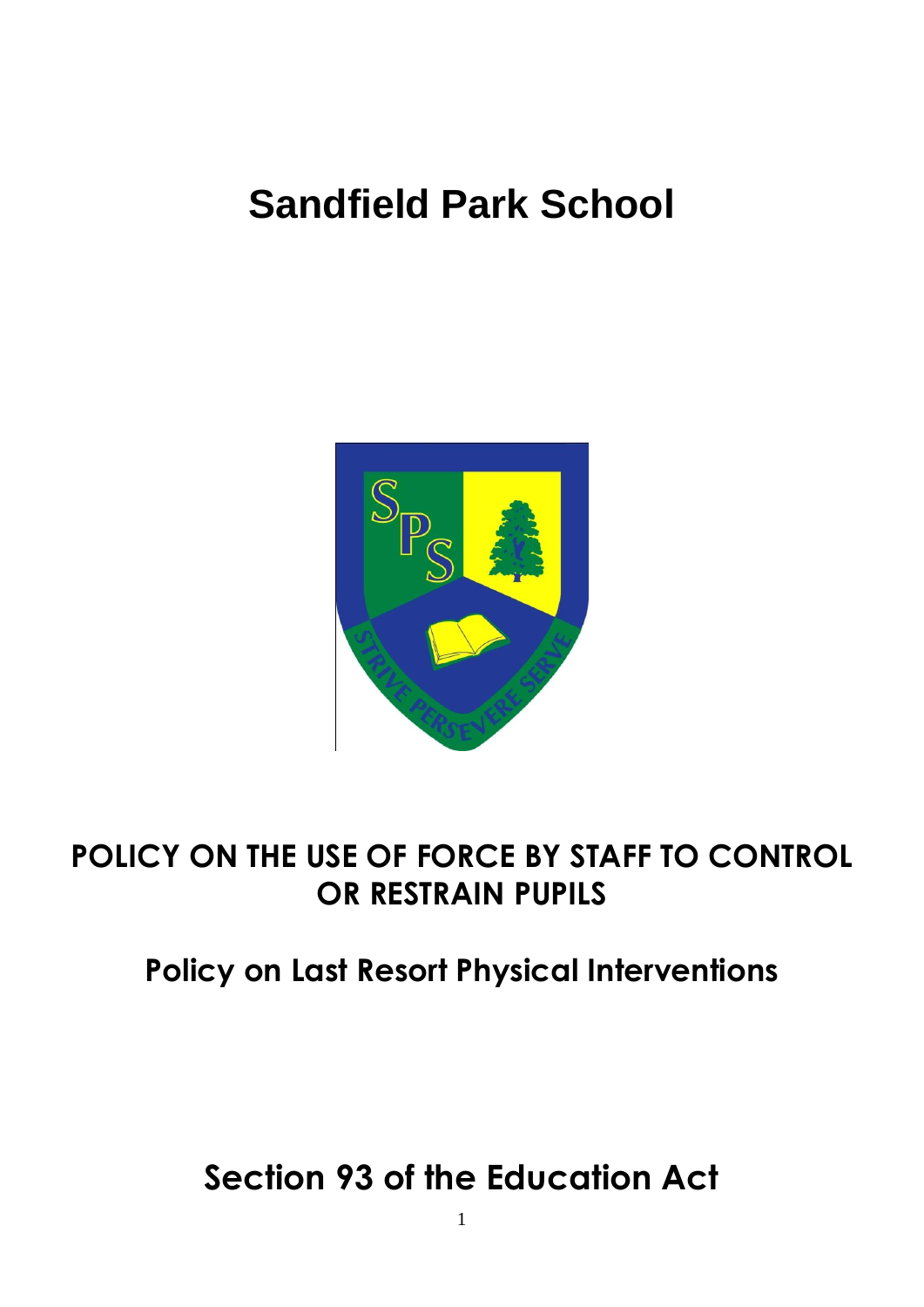# **Sandfield Park School**



# **POLICY ON THE USE OF FORCE BY STAFF TO CONTROL OR RESTRAIN PUPILS**

# **Policy on Last Resort Physical Interventions**

**Section 93 of the Education Act**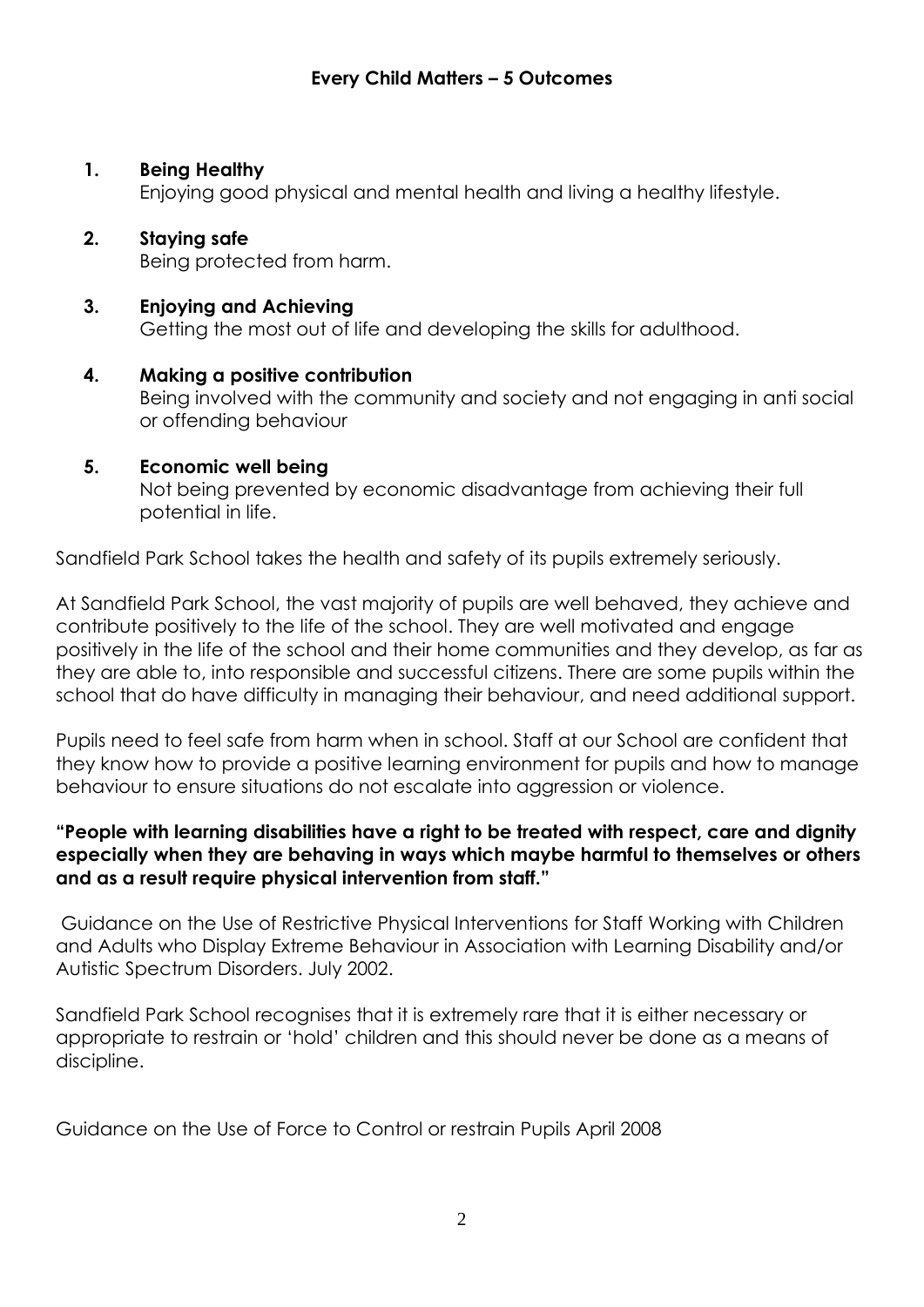#### **1. Being Healthy**

Enjoying good physical and mental health and living a healthy lifestyle.

# **2. Staying safe**

Being protected from harm.

#### **3. Enjoying and Achieving** Getting the most out of life and developing the skills for adulthood.

**4. Making a positive contribution** Being involved with the community and society and not engaging in anti social or offending behaviour

#### **5. Economic well being**

Not being prevented by economic disadvantage from achieving their full potential in life.

Sandfield Park School takes the health and safety of its pupils extremely seriously.

At Sandfield Park School, the vast majority of pupils are well behaved, they achieve and contribute positively to the life of the school. They are well motivated and engage positively in the life of the school and their home communities and they develop, as far as they are able to, into responsible and successful citizens. There are some pupils within the school that do have difficulty in managing their behaviour, and need additional support.

Pupils need to feel safe from harm when in school. Staff at our School are confident that they know how to provide a positive learning environment for pupils and how to manage behaviour to ensure situations do not escalate into aggression or violence.

#### **"People with learning disabilities have a right to be treated with respect, care and dignity especially when they are behaving in ways which maybe harmful to themselves or others and as a result require physical intervention from staff."**

Guidance on the Use of Restrictive Physical Interventions for Staff Working with Children and Adults who Display Extreme Behaviour in Association with Learning Disability and/or Autistic Spectrum Disorders. July 2002.

Sandfield Park School recognises that it is extremely rare that it is either necessary or appropriate to restrain or 'hold' children and this should never be done as a means of discipline.

Guidance on the Use of Force to Control or restrain Pupils April 2008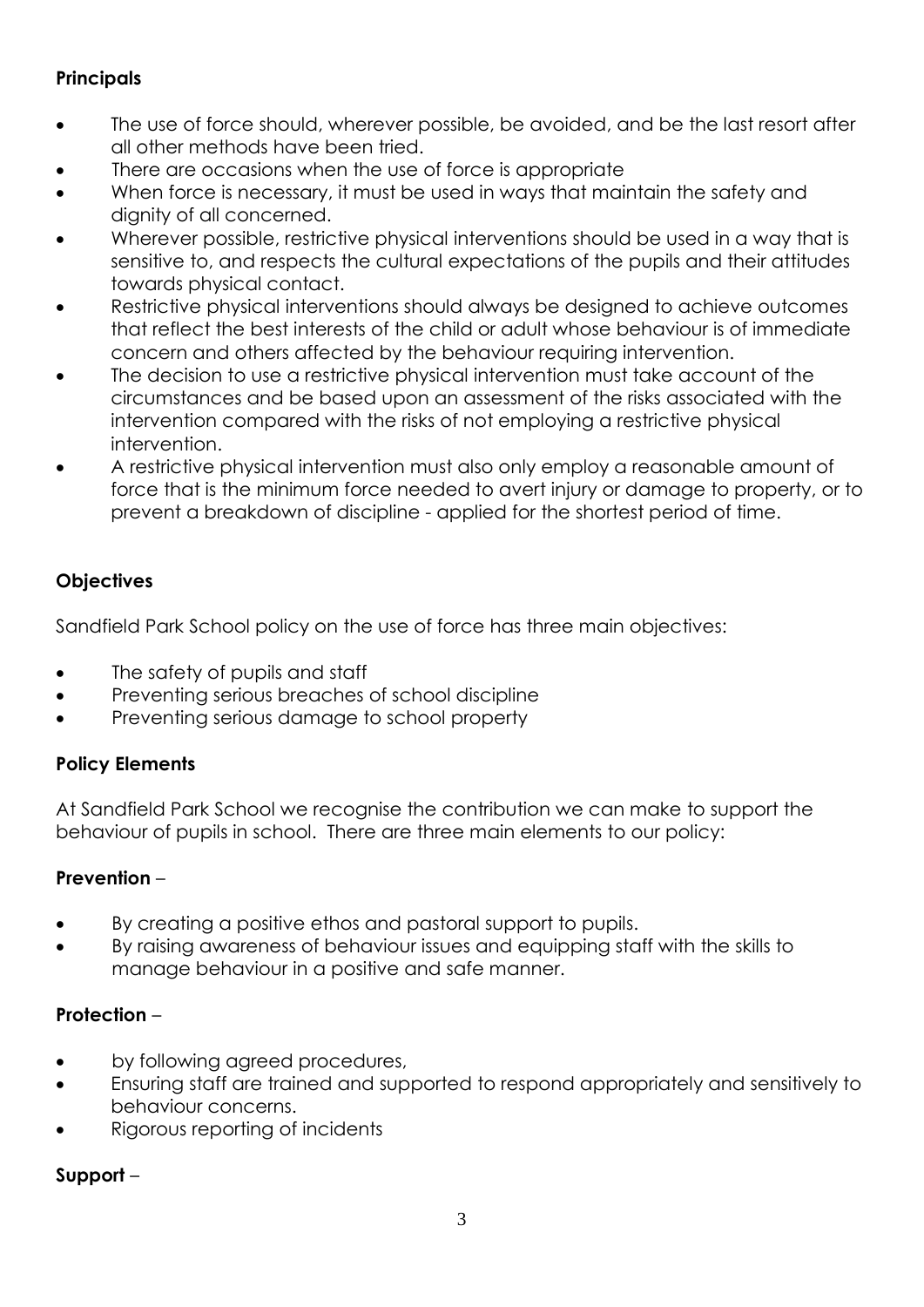# **Principals**

- The use of force should, wherever possible, be avoided, and be the last resort after all other methods have been tried.
- There are occasions when the use of force is appropriate
- When force is necessary, it must be used in ways that maintain the safety and dignity of all concerned.
- Wherever possible, restrictive physical interventions should be used in a way that is sensitive to, and respects the cultural expectations of the pupils and their attitudes towards physical contact.
- Restrictive physical interventions should always be designed to achieve outcomes that reflect the best interests of the child or adult whose behaviour is of immediate concern and others affected by the behaviour requiring intervention.
- The decision to use a restrictive physical intervention must take account of the circumstances and be based upon an assessment of the risks associated with the intervention compared with the risks of not employing a restrictive physical intervention.
- A restrictive physical intervention must also only employ a reasonable amount of force that is the minimum force needed to avert injury or damage to property, or to prevent a breakdown of discipline - applied for the shortest period of time.

# **Objectives**

Sandfield Park School policy on the use of force has three main objectives:

- The safety of pupils and staff
- Preventing serious breaches of school discipline
- Preventing serious damage to school property

# **Policy Elements**

At Sandfield Park School we recognise the contribution we can make to support the behaviour of pupils in school. There are three main elements to our policy:

# **Prevention** –

- By creating a positive ethos and pastoral support to pupils.
- By raising awareness of behaviour issues and equipping staff with the skills to manage behaviour in a positive and safe manner.

# **Protection** –

- by following agreed procedures,
- Ensuring staff are trained and supported to respond appropriately and sensitively to behaviour concerns.
- Rigorous reporting of incidents

# **Support** –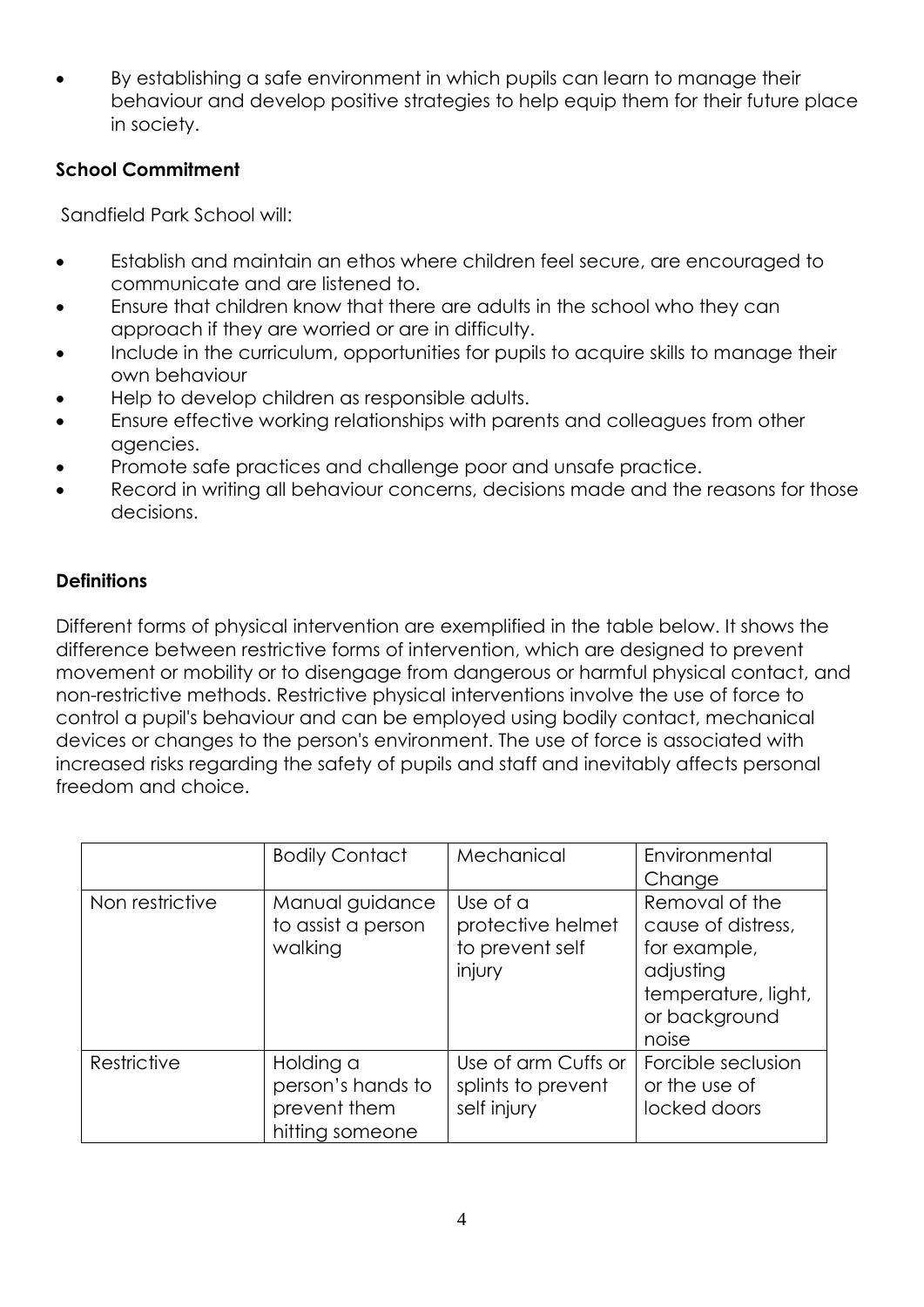By establishing a safe environment in which pupils can learn to manage their behaviour and develop positive strategies to help equip them for their future place in society.

#### **School Commitment**

Sandfield Park School will:

- Establish and maintain an ethos where children feel secure, are encouraged to communicate and are listened to.
- Ensure that children know that there are adults in the school who they can approach if they are worried or are in difficulty.
- Include in the curriculum, opportunities for pupils to acquire skills to manage their own behaviour
- Help to develop children as responsible adults.
- Ensure effective working relationships with parents and colleagues from other agencies.
- Promote safe practices and challenge poor and unsafe practice.
- Record in writing all behaviour concerns, decisions made and the reasons for those decisions.

### **Definitions**

Different forms of physical intervention are exemplified in the table below. It shows the difference between restrictive forms of intervention, which are designed to prevent movement or mobility or to disengage from dangerous or harmful physical contact, and non-restrictive methods. Restrictive physical interventions involve the use of force to control a pupil's behaviour and can be employed using bodily contact, mechanical devices or changes to the person's environment. The use of force is associated with increased risks regarding the safety of pupils and staff and inevitably affects personal freedom and choice.

|                 | <b>Bodily Contact</b>                                             | Mechanical                                                 | Environmental<br>Change                                                                                            |
|-----------------|-------------------------------------------------------------------|------------------------------------------------------------|--------------------------------------------------------------------------------------------------------------------|
| Non restrictive | Manual guidance<br>to assist a person<br>walking                  | Use of a<br>protective helmet<br>to prevent self<br>injury | Removal of the<br>cause of distress,<br>for example,<br>adjusting<br>temperature, light,<br>or background<br>noise |
| Restrictive     | Holding a<br>person's hands to<br>prevent them<br>hitting someone | Use of arm Cuffs or<br>splints to prevent<br>self injury   | Forcible seclusion<br>or the use of<br>locked doors                                                                |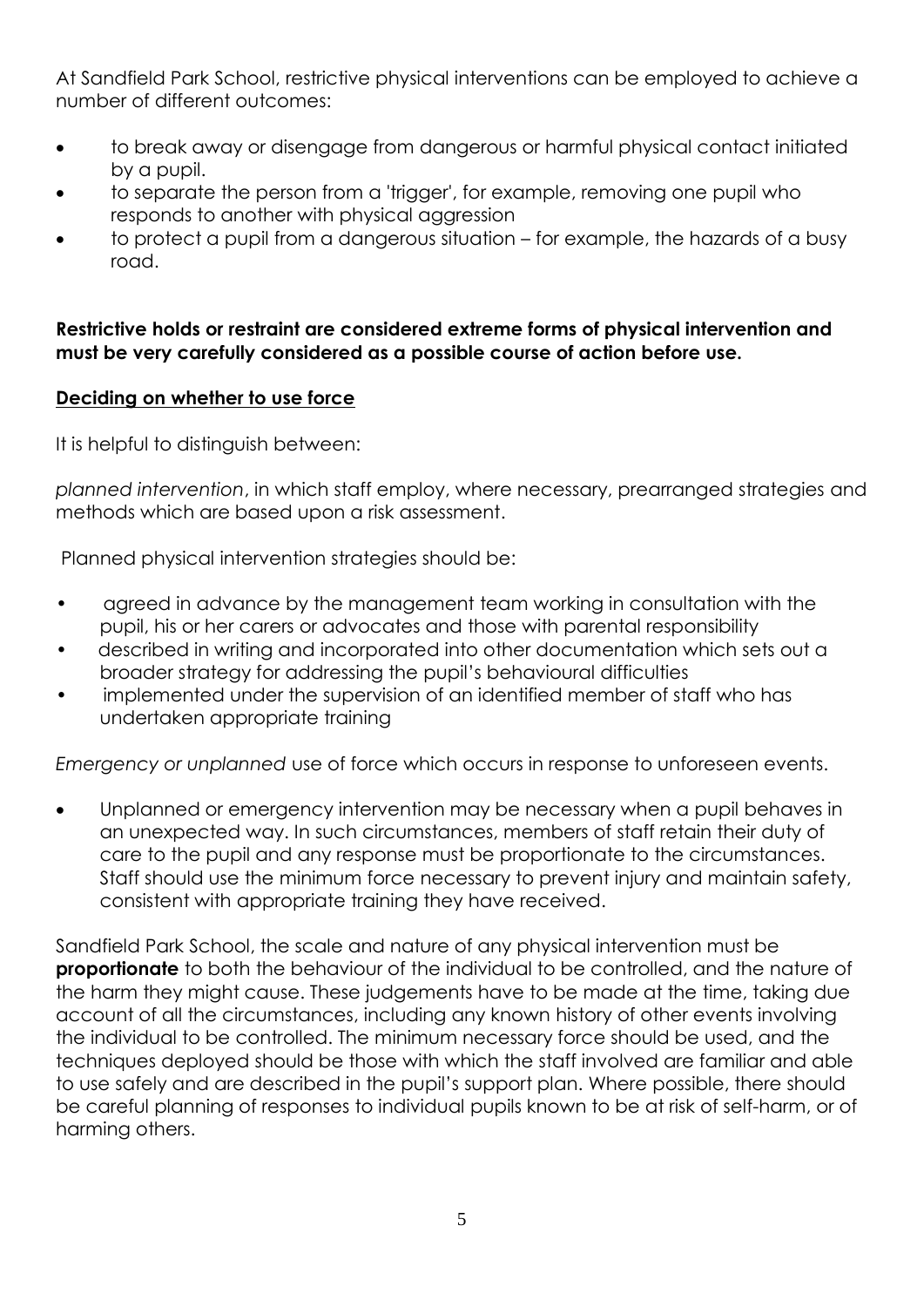At Sandfield Park School, restrictive physical interventions can be employed to achieve a number of different outcomes:

- to break away or disengage from dangerous or harmful physical contact initiated by a pupil.
- to separate the person from a 'trigger', for example, removing one pupil who responds to another with physical aggression
- to protect a pupil from a dangerous situation for example, the hazards of a busy road.

#### **Restrictive holds or restraint are considered extreme forms of physical intervention and must be very carefully considered as a possible course of action before use.**

#### **Deciding on whether to use force**

It is helpful to distinguish between:

*planned intervention*, in which staff employ, where necessary, prearranged strategies and methods which are based upon a risk assessment.

Planned physical intervention strategies should be:

- agreed in advance by the management team working in consultation with the pupil, his or her carers or advocates and those with parental responsibility
- described in writing and incorporated into other documentation which sets out a broader strategy for addressing the pupil's behavioural difficulties
- implemented under the supervision of an identified member of staff who has undertaken appropriate training

*Emergency or unplanned* use of force which occurs in response to unforeseen events.

 Unplanned or emergency intervention may be necessary when a pupil behaves in an unexpected way. In such circumstances, members of staff retain their duty of care to the pupil and any response must be proportionate to the circumstances. Staff should use the minimum force necessary to prevent injury and maintain safety, consistent with appropriate training they have received.

Sandfield Park School, the scale and nature of any physical intervention must be **proportionate** to both the behaviour of the individual to be controlled, and the nature of the harm they might cause. These judgements have to be made at the time, taking due account of all the circumstances, including any known history of other events involving the individual to be controlled. The minimum necessary force should be used, and the techniques deployed should be those with which the staff involved are familiar and able to use safely and are described in the pupil's support plan. Where possible, there should be careful planning of responses to individual pupils known to be at risk of self-harm, or of harming others.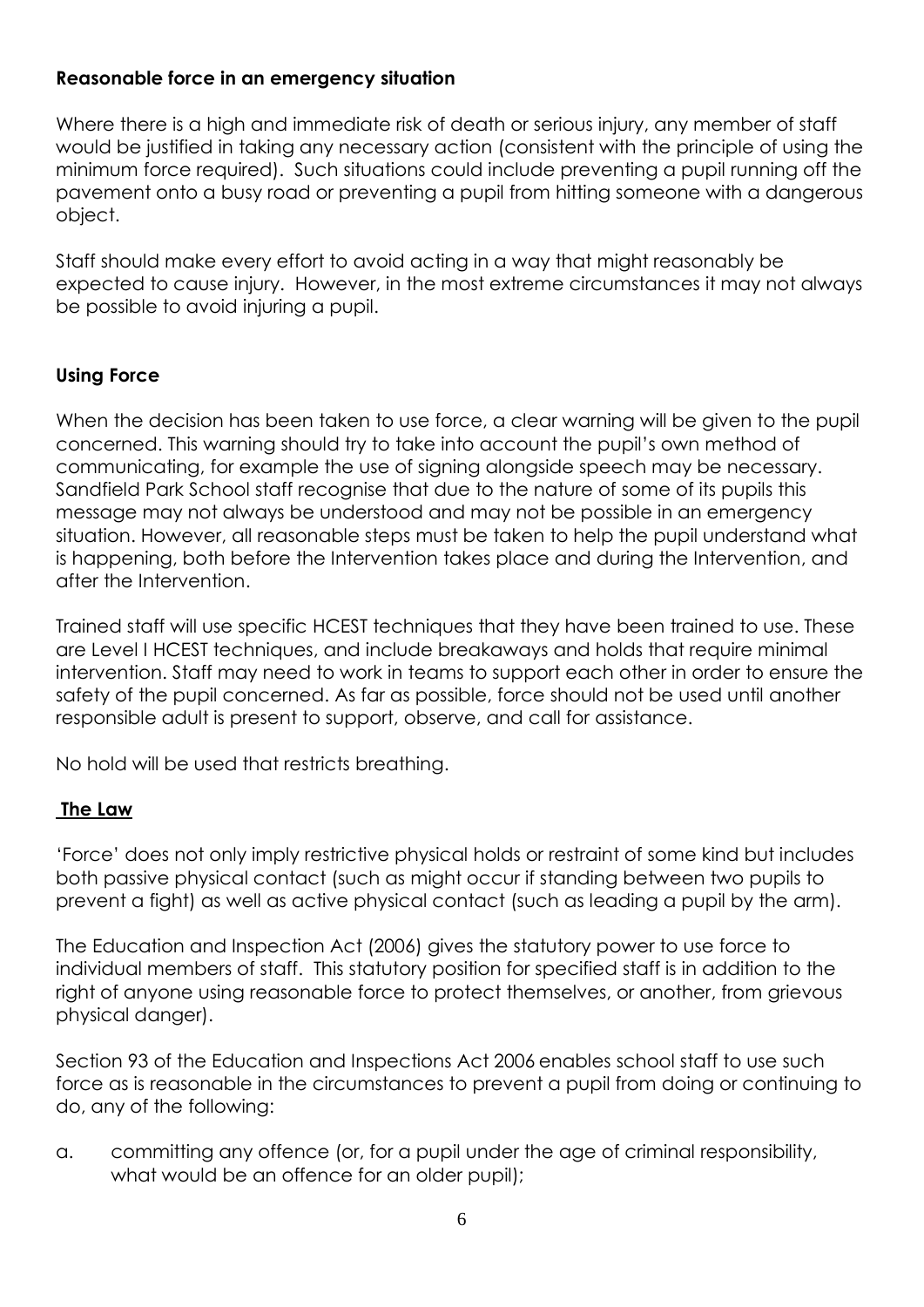#### **Reasonable force in an emergency situation**

Where there is a high and immediate risk of death or serious injury, any member of staff would be justified in taking any necessary action (consistent with the principle of using the minimum force required). Such situations could include preventing a pupil running off the pavement onto a busy road or preventing a pupil from hitting someone with a dangerous object.

Staff should make every effort to avoid acting in a way that might reasonably be expected to cause injury. However, in the most extreme circumstances it may not always be possible to avoid injuring a pupil.

#### **Using Force**

When the decision has been taken to use force, a clear warning will be given to the pupil concerned. This warning should try to take into account the pupil's own method of communicating, for example the use of signing alongside speech may be necessary. Sandfield Park School staff recognise that due to the nature of some of its pupils this message may not always be understood and may not be possible in an emergency situation. However, all reasonable steps must be taken to help the pupil understand what is happening, both before the Intervention takes place and during the Intervention, and after the Intervention.

Trained staff will use specific HCEST techniques that they have been trained to use. These are Level I HCEST techniques, and include breakaways and holds that require minimal intervention. Staff may need to work in teams to support each other in order to ensure the safety of the pupil concerned. As far as possible, force should not be used until another responsible adult is present to support, observe, and call for assistance.

No hold will be used that restricts breathing.

#### **The Law**

'Force' does not only imply restrictive physical holds or restraint of some kind but includes both passive physical contact (such as might occur if standing between two pupils to prevent a fight) as well as active physical contact (such as leading a pupil by the arm).

The Education and Inspection Act (2006) gives the statutory power to use force to individual members of staff. This statutory position for specified staff is in addition to the right of anyone using reasonable force to protect themselves, or another, from grievous physical danger).

Section 93 of the Education and Inspections Act 2006 enables school staff to use such force as is reasonable in the circumstances to prevent a pupil from doing or continuing to do, any of the following:

a. committing any offence (or, for a pupil under the age of criminal responsibility, what would be an offence for an older pupil);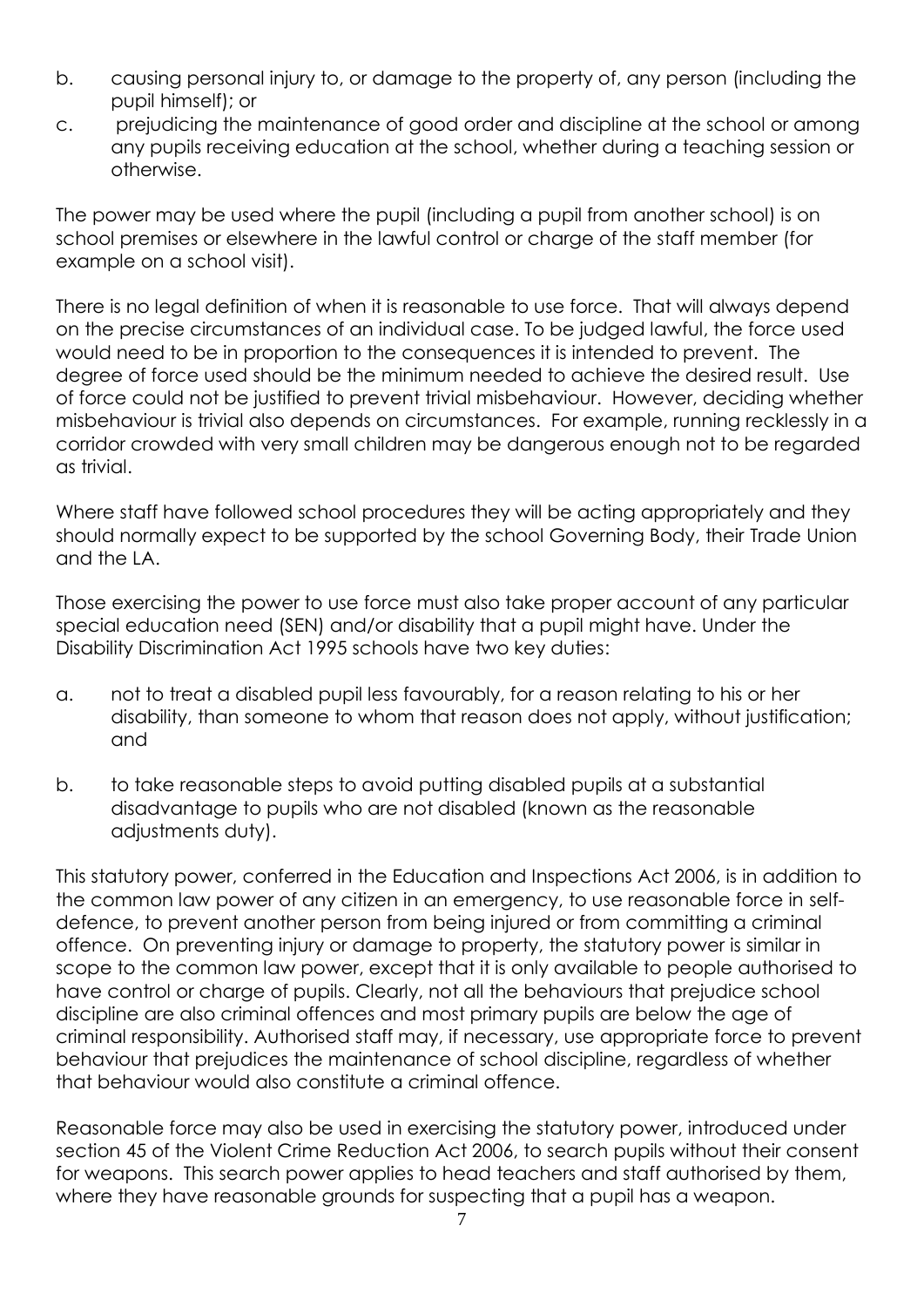- b. causing personal injury to, or damage to the property of, any person (including the pupil himself); or
- c. prejudicing the maintenance of good order and discipline at the school or among any pupils receiving education at the school, whether during a teaching session or otherwise.

The power may be used where the pupil (including a pupil from another school) is on school premises or elsewhere in the lawful control or charge of the staff member (for example on a school visit).

There is no legal definition of when it is reasonable to use force. That will always depend on the precise circumstances of an individual case. To be judged lawful, the force used would need to be in proportion to the consequences it is intended to prevent. The degree of force used should be the minimum needed to achieve the desired result. Use of force could not be justified to prevent trivial misbehaviour. However, deciding whether misbehaviour is trivial also depends on circumstances. For example, running recklessly in a corridor crowded with very small children may be dangerous enough not to be regarded as trivial.

Where staff have followed school procedures they will be acting appropriately and they should normally expect to be supported by the school Governing Body, their Trade Union and the LA.

Those exercising the power to use force must also take proper account of any particular special education need (SEN) and/or disability that a pupil might have. Under the Disability Discrimination Act 1995 schools have two key duties:

- a. not to treat a disabled pupil less favourably, for a reason relating to his or her disability, than someone to whom that reason does not apply, without justification; and
- b. to take reasonable steps to avoid putting disabled pupils at a substantial disadvantage to pupils who are not disabled (known as the reasonable adjustments duty).

This statutory power, conferred in the Education and Inspections Act 2006, is in addition to the common law power of any citizen in an emergency, to use reasonable force in selfdefence, to prevent another person from being injured or from committing a criminal offence. On preventing injury or damage to property, the statutory power is similar in scope to the common law power, except that it is only available to people authorised to have control or charge of pupils. Clearly, not all the behaviours that prejudice school discipline are also criminal offences and most primary pupils are below the age of criminal responsibility. Authorised staff may, if necessary, use appropriate force to prevent behaviour that prejudices the maintenance of school discipline, regardless of whether that behaviour would also constitute a criminal offence.

Reasonable force may also be used in exercising the statutory power, introduced under section 45 of the Violent Crime Reduction Act 2006, to search pupils without their consent for weapons. This search power applies to head teachers and staff authorised by them, where they have reasonable grounds for suspecting that a pupil has a weapon.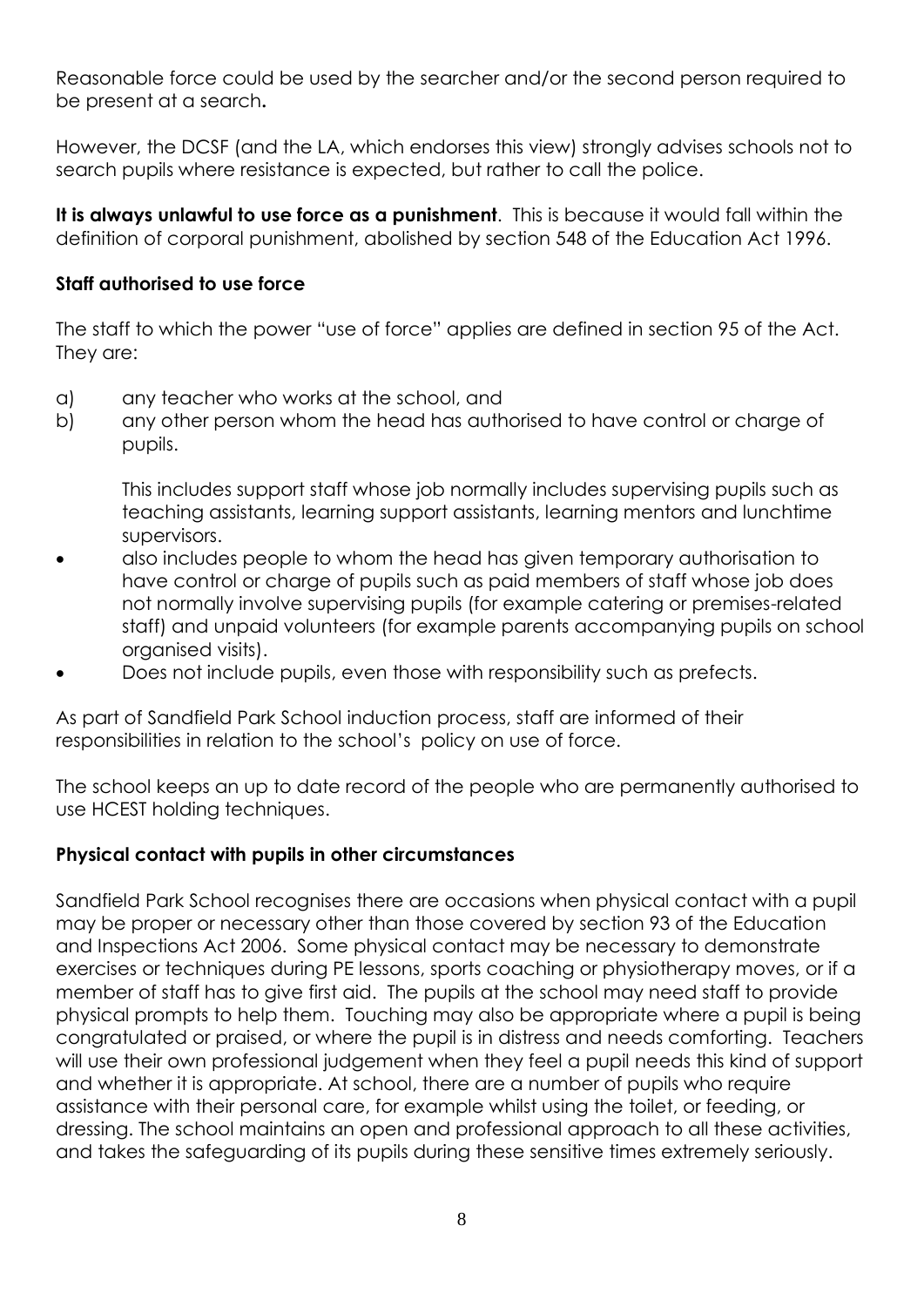Reasonable force could be used by the searcher and/or the second person required to be present at a search**.**

However, the DCSF (and the LA, which endorses this view) strongly advises schools not to search pupils where resistance is expected, but rather to call the police.

**It is always unlawful to use force as a punishment**. This is because it would fall within the definition of corporal punishment, abolished by section 548 of the Education Act 1996.

#### **Staff authorised to use force**

The staff to which the power "use of force" applies are defined in section 95 of the Act. They are:

- a) any teacher who works at the school, and
- b) any other person whom the head has authorised to have control or charge of pupils.

This includes support staff whose job normally includes supervising pupils such as teaching assistants, learning support assistants, learning mentors and lunchtime supervisors.

- also includes people to whom the head has given temporary authorisation to have control or charge of pupils such as paid members of staff whose job does not normally involve supervising pupils (for example catering or premises-related staff) and unpaid volunteers (for example parents accompanying pupils on school organised visits).
- Does not include pupils, even those with responsibility such as prefects.

As part of Sandfield Park School induction process, staff are informed of their responsibilities in relation to the school's policy on use of force.

The school keeps an up to date record of the people who are permanently authorised to use HCEST holding techniques.

#### **Physical contact with pupils in other circumstances**

Sandfield Park School recognises there are occasions when physical contact with a pupil may be proper or necessary other than those covered by section 93 of the Education and Inspections Act 2006. Some physical contact may be necessary to demonstrate exercises or techniques during PE lessons, sports coaching or physiotherapy moves, or if a member of staff has to give first aid. The pupils at the school may need staff to provide physical prompts to help them. Touching may also be appropriate where a pupil is being congratulated or praised, or where the pupil is in distress and needs comforting. Teachers will use their own professional judgement when they feel a pupil needs this kind of support and whether it is appropriate. At school, there are a number of pupils who require assistance with their personal care, for example whilst using the toilet, or feeding, or dressing. The school maintains an open and professional approach to all these activities, and takes the safeguarding of its pupils during these sensitive times extremely seriously.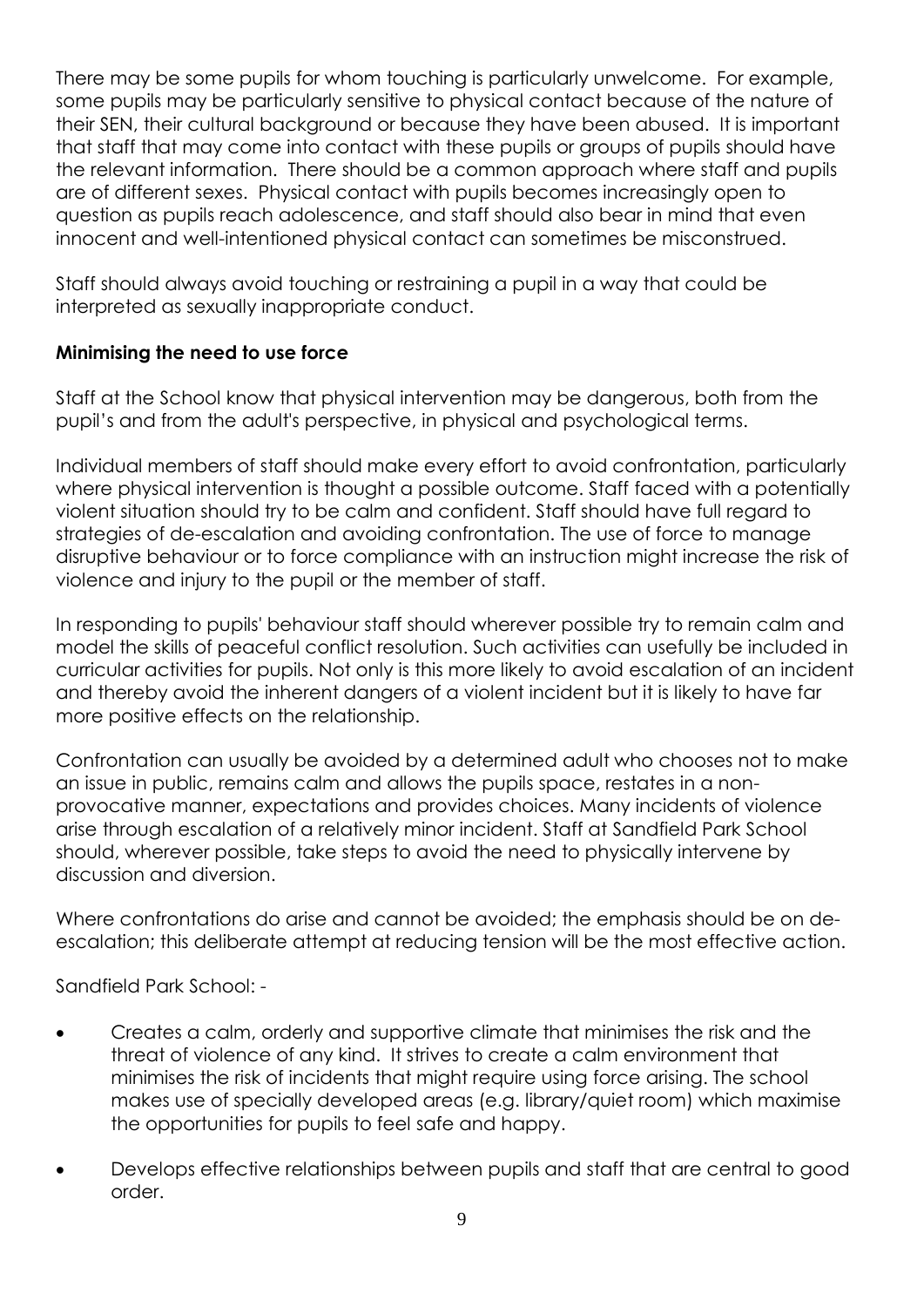There may be some pupils for whom touching is particularly unwelcome. For example, some pupils may be particularly sensitive to physical contact because of the nature of their SEN, their cultural background or because they have been abused. It is important that staff that may come into contact with these pupils or groups of pupils should have the relevant information. There should be a common approach where staff and pupils are of different sexes. Physical contact with pupils becomes increasingly open to question as pupils reach adolescence, and staff should also bear in mind that even innocent and well-intentioned physical contact can sometimes be misconstrued.

Staff should always avoid touching or restraining a pupil in a way that could be interpreted as sexually inappropriate conduct.

### **Minimising the need to use force**

Staff at the School know that physical intervention may be dangerous, both from the pupil's and from the adult's perspective, in physical and psychological terms.

Individual members of staff should make every effort to avoid confrontation, particularly where physical intervention is thought a possible outcome. Staff faced with a potentially violent situation should try to be calm and confident. Staff should have full regard to strategies of de-escalation and avoiding confrontation. The use of force to manage disruptive behaviour or to force compliance with an instruction might increase the risk of violence and injury to the pupil or the member of staff.

In responding to pupils' behaviour staff should wherever possible try to remain calm and model the skills of peaceful conflict resolution. Such activities can usefully be included in curricular activities for pupils. Not only is this more likely to avoid escalation of an incident and thereby avoid the inherent dangers of a violent incident but it is likely to have far more positive effects on the relationship.

Confrontation can usually be avoided by a determined adult who chooses not to make an issue in public, remains calm and allows the pupils space, restates in a nonprovocative manner, expectations and provides choices. Many incidents of violence arise through escalation of a relatively minor incident. Staff at Sandfield Park School should, wherever possible, take steps to avoid the need to physically intervene by discussion and diversion.

Where confrontations do arise and cannot be avoided; the emphasis should be on deescalation; this deliberate attempt at reducing tension will be the most effective action.

Sandfield Park School: -

- Creates a calm, orderly and supportive climate that minimises the risk and the threat of violence of any kind. It strives to create a calm environment that minimises the risk of incidents that might require using force arising. The school makes use of specially developed areas (e.g. library/quiet room) which maximise the opportunities for pupils to feel safe and happy.
- Develops effective relationships between pupils and staff that are central to good order.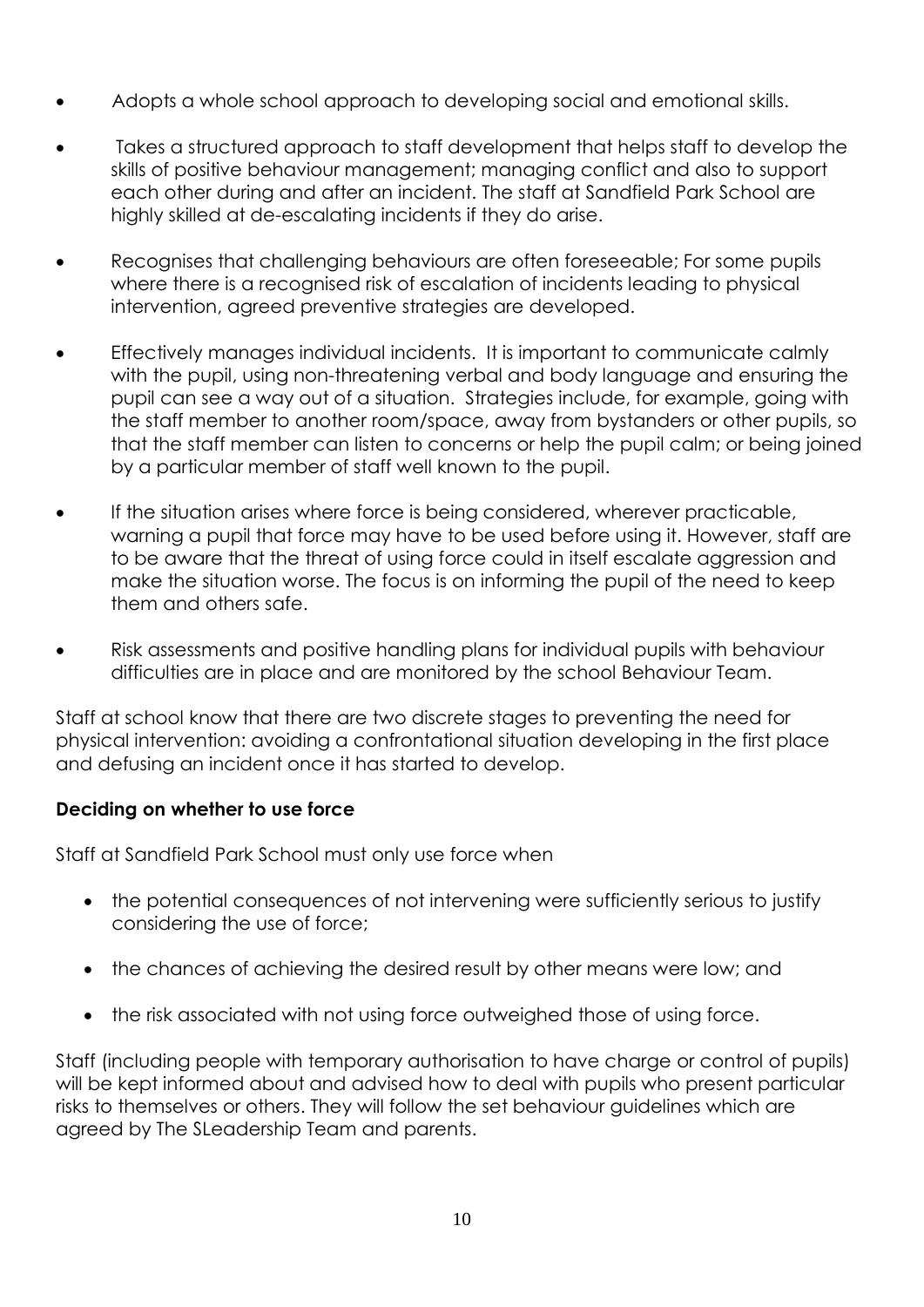- Adopts a whole school approach to developing social and emotional skills.
- Takes a structured approach to staff development that helps staff to develop the skills of positive behaviour management; managing conflict and also to support each other during and after an incident. The staff at Sandfield Park School are highly skilled at de-escalating incidents if they do arise.
- Recognises that challenging behaviours are often foreseeable; For some pupils where there is a recognised risk of escalation of incidents leading to physical intervention, agreed preventive strategies are developed.
- Effectively manages individual incidents. It is important to communicate calmly with the pupil, using non-threatening verbal and body language and ensuring the pupil can see a way out of a situation. Strategies include, for example, going with the staff member to another room/space, away from bystanders or other pupils, so that the staff member can listen to concerns or help the pupil calm; or being joined by a particular member of staff well known to the pupil.
- If the situation arises where force is being considered, wherever practicable, warning a pupil that force may have to be used before using it. However, staff are to be aware that the threat of using force could in itself escalate aggression and make the situation worse. The focus is on informing the pupil of the need to keep them and others safe.
- Risk assessments and positive handling plans for individual pupils with behaviour difficulties are in place and are monitored by the school Behaviour Team.

Staff at school know that there are two discrete stages to preventing the need for physical intervention: avoiding a confrontational situation developing in the first place and defusing an incident once it has started to develop.

#### **Deciding on whether to use force**

Staff at Sandfield Park School must only use force when

- the potential consequences of not intervening were sufficiently serious to justify considering the use of force;
- the chances of achieving the desired result by other means were low; and
- the risk associated with not using force outweighed those of using force.

Staff (including people with temporary authorisation to have charge or control of pupils) will be kept informed about and advised how to deal with pupils who present particular risks to themselves or others. They will follow the set behaviour guidelines which are agreed by The SLeadership Team and parents.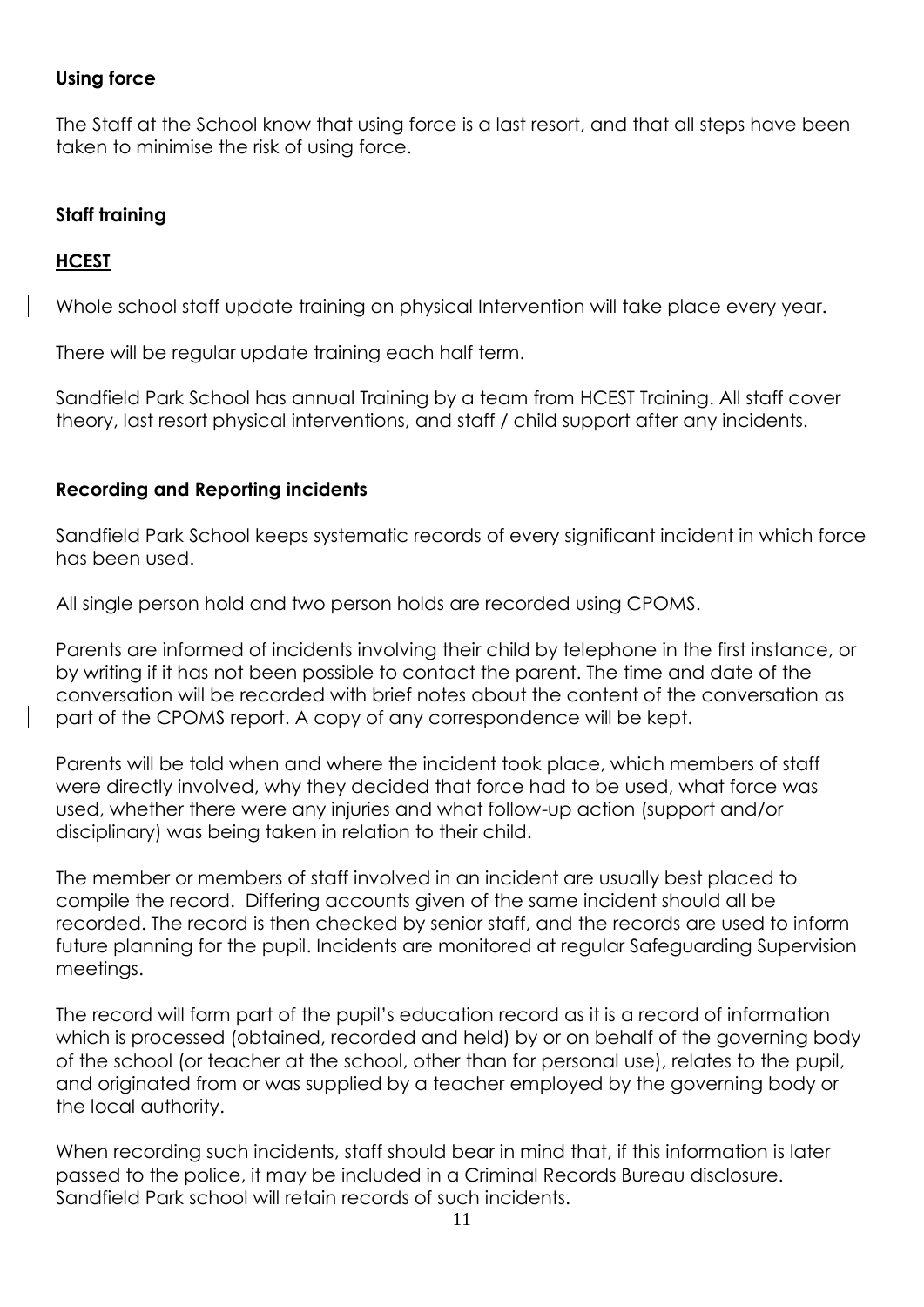#### **Using force**

The Staff at the School know that using force is a last resort, and that all steps have been taken to minimise the risk of using force.

#### **Staff training**

#### **HCEST**

Whole school staff update training on physical Intervention will take place every year.

There will be regular update training each half term.

Sandfield Park School has annual Training by a team from HCEST Training. All staff cover theory, last resort physical interventions, and staff / child support after any incidents.

#### **Recording and Reporting incidents**

Sandfield Park School keeps systematic records of every significant incident in which force has been used.

All single person hold and two person holds are recorded using CPOMS.

Parents are informed of incidents involving their child by telephone in the first instance, or by writing if it has not been possible to contact the parent. The time and date of the conversation will be recorded with brief notes about the content of the conversation as part of the CPOMS report. A copy of any correspondence will be kept.

Parents will be told when and where the incident took place, which members of staff were directly involved, why they decided that force had to be used, what force was used, whether there were any injuries and what follow-up action (support and/or disciplinary) was being taken in relation to their child.

The member or members of staff involved in an incident are usually best placed to compile the record. Differing accounts given of the same incident should all be recorded. The record is then checked by senior staff, and the records are used to inform future planning for the pupil. Incidents are monitored at regular Safeguarding Supervision meetings.

The record will form part of the pupil's education record as it is a record of information which is processed (obtained, recorded and held) by or on behalf of the governing body of the school (or teacher at the school, other than for personal use), relates to the pupil, and originated from or was supplied by a teacher employed by the governing body or the local authority.

When recording such incidents, staff should bear in mind that, if this information is later passed to the police, it may be included in a Criminal Records Bureau disclosure. Sandfield Park school will retain records of such incidents.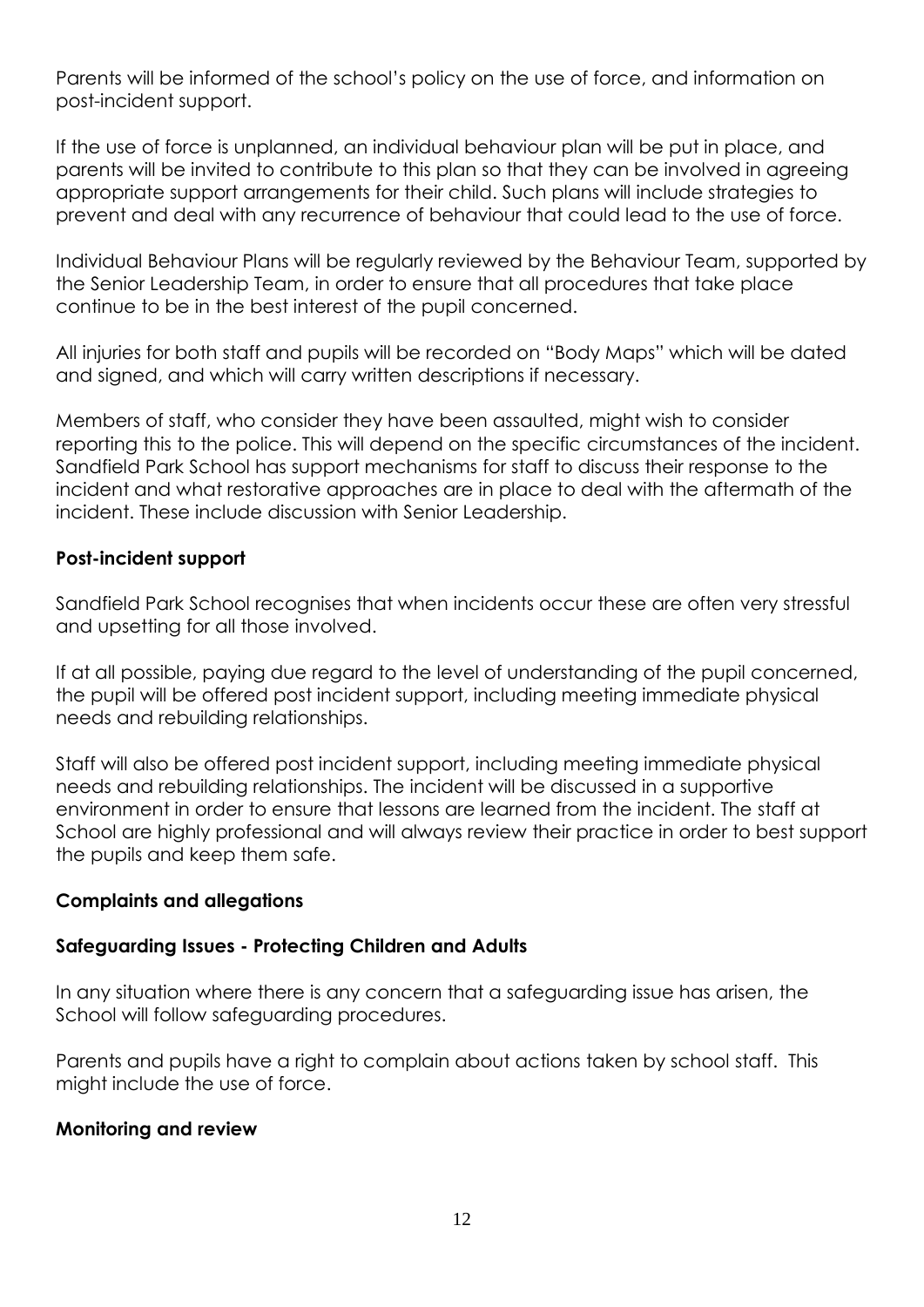Parents will be informed of the school's policy on the use of force, and information on post-incident support.

If the use of force is unplanned, an individual behaviour plan will be put in place, and parents will be invited to contribute to this plan so that they can be involved in agreeing appropriate support arrangements for their child. Such plans will include strategies to prevent and deal with any recurrence of behaviour that could lead to the use of force.

Individual Behaviour Plans will be regularly reviewed by the Behaviour Team, supported by the Senior Leadership Team, in order to ensure that all procedures that take place continue to be in the best interest of the pupil concerned.

All injuries for both staff and pupils will be recorded on "Body Maps" which will be dated and signed, and which will carry written descriptions if necessary.

Members of staff, who consider they have been assaulted, might wish to consider reporting this to the police. This will depend on the specific circumstances of the incident. Sandfield Park School has support mechanisms for staff to discuss their response to the incident and what restorative approaches are in place to deal with the aftermath of the incident. These include discussion with Senior Leadership.

#### **Post-incident support**

Sandfield Park School recognises that when incidents occur these are often very stressful and upsetting for all those involved.

If at all possible, paying due regard to the level of understanding of the pupil concerned, the pupil will be offered post incident support, including meeting immediate physical needs and rebuilding relationships.

Staff will also be offered post incident support, including meeting immediate physical needs and rebuilding relationships. The incident will be discussed in a supportive environment in order to ensure that lessons are learned from the incident. The staff at School are highly professional and will always review their practice in order to best support the pupils and keep them safe.

#### **Complaints and allegations**

#### **Safeguarding Issues - Protecting Children and Adults**

In any situation where there is any concern that a safeguarding issue has arisen, the School will follow safeguarding procedures.

Parents and pupils have a right to complain about actions taken by school staff. This might include the use of force.

#### **Monitoring and review**